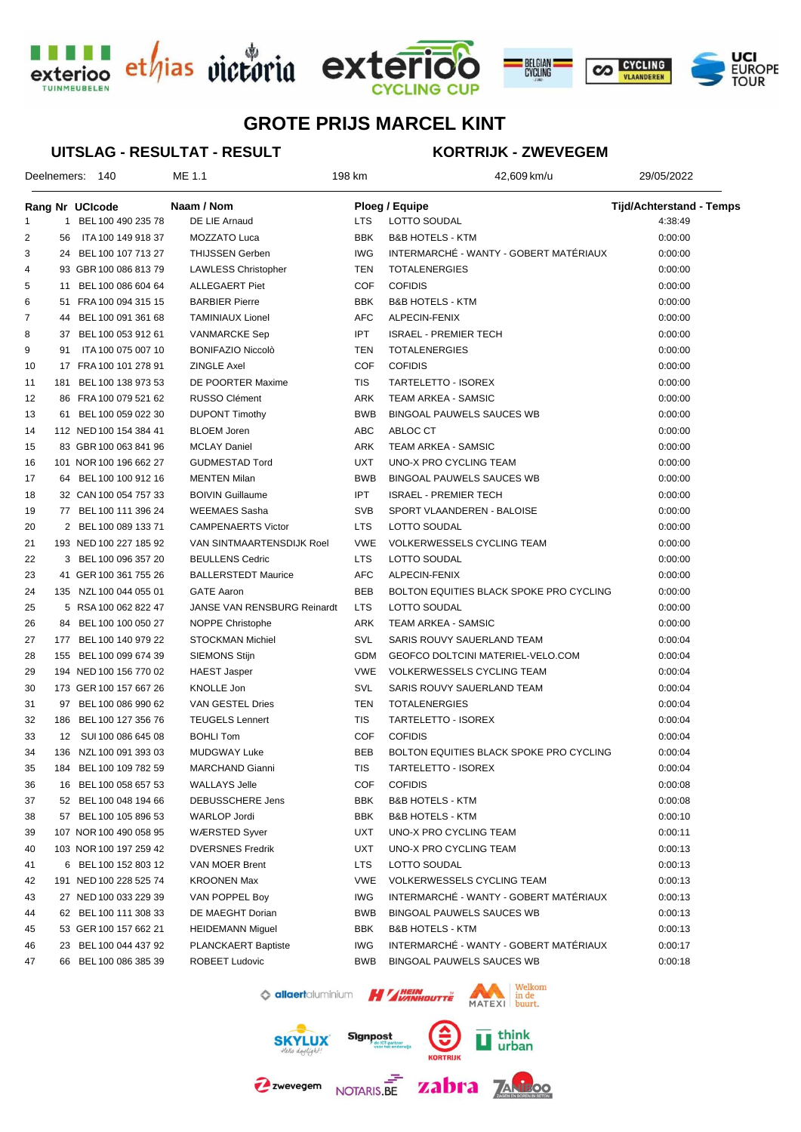





#### **UITSLAG - RESULTAT - RESULT**

### **KORTRIJK - ZWEVEGEM**

|    |     | Deelnemers: 140        | ME 1.1                           | 198 km     | 42,609 km/u                             | 29/05/2022                      |  |
|----|-----|------------------------|----------------------------------|------------|-----------------------------------------|---------------------------------|--|
|    |     | Rang Nr UCIcode        | Naam / Nom                       |            | <b>Ploeg / Equipe</b>                   | <b>Tijd/Achterstand - Temps</b> |  |
| 1  |     | 1 BEL 100 490 235 78   | DE LIE Arnaud                    | <b>LTS</b> | LOTTO SOUDAL                            | 4:38:49                         |  |
| 2  | 56  | ITA 100 149 918 37     | MOZZATO Luca                     | BBK        | <b>B&amp;B HOTELS - KTM</b>             | 0:00:00                         |  |
| 3  |     | 24 BEL 100 107 713 27  | <b>THIJSSEN Gerben</b>           | <b>IWG</b> | INTERMARCHÉ - WANTY - GOBERT MATÉRIAUX  | 0:00:00                         |  |
| 4  |     | 93 GBR 100 086 813 79  | <b>LAWLESS Christopher</b>       | TEN        | <b>TOTALENERGIES</b>                    | 0:00:00                         |  |
| 5  |     | 11 BEL 100 086 604 64  | <b>ALLEGAERT Piet</b>            | <b>COF</b> | <b>COFIDIS</b>                          | 0:00:00                         |  |
| 6  |     | 51 FRA 100 094 315 15  | <b>BARBIER Pierre</b>            | <b>BBK</b> | <b>B&amp;B HOTELS - KTM</b>             | 0:00:00                         |  |
| 7  |     | 44 BEL 100 091 361 68  | <b>TAMINIAUX Lionel</b>          | <b>AFC</b> | ALPECIN-FENIX                           | 0:00:00                         |  |
| 8  |     | 37 BEL 100 053 912 61  | <b>VANMARCKE Sep</b>             | <b>IPT</b> | <b>ISRAEL - PREMIER TECH</b>            | 0:00:00                         |  |
| 9  | 91  | ITA 100 075 007 10     | <b>BONIFAZIO Niccolò</b>         | <b>TEN</b> | <b>TOTALENERGIES</b>                    | 0:00:00                         |  |
| 10 |     | 17 FRA 100 101 278 91  | <b>ZINGLE Axel</b>               | <b>COF</b> | <b>COFIDIS</b>                          | 0:00:00                         |  |
| 11 | 181 | BEL 100 138 973 53     | DE POORTER Maxime                | <b>TIS</b> | TARTELETTO - ISOREX                     | 0:00:00                         |  |
| 12 |     | 86 FRA 100 079 521 62  | RUSSO Clément                    | ARK        | TEAM ARKEA - SAMSIC                     | 0:00:00                         |  |
| 13 |     | 61 BEL 100 059 022 30  | <b>DUPONT Timothy</b>            | <b>BWB</b> | <b>BINGOAL PAUWELS SAUCES WB</b>        | 0:00:00                         |  |
| 14 |     | 112 NED 100 154 384 41 | <b>BLOEM Joren</b>               | ABC        | ABLOC CT                                | 0:00:00                         |  |
| 15 |     | 83 GBR 100 063 841 96  | <b>MCLAY Daniel</b>              | ARK        | TEAM ARKEA - SAMSIC                     | 0:00:00                         |  |
| 16 |     | 101 NOR 100 196 662 27 | <b>GUDMESTAD Tord</b>            | <b>UXT</b> | UNO-X PRO CYCLING TEAM                  | 0:00:00                         |  |
| 17 |     | 64 BEL 100 100 912 16  | <b>MENTEN Milan</b>              | <b>BWB</b> | <b>BINGOAL PAUWELS SAUCES WB</b>        | 0:00:00                         |  |
| 18 |     | 32 CAN 100 054 757 33  | <b>BOIVIN Guillaume</b>          | <b>IPT</b> | <b>ISRAEL - PREMIER TECH</b>            | 0:00:00                         |  |
| 19 |     | 77 BEL 100 111 396 24  | <b>WEEMAES Sasha</b>             | <b>SVB</b> | SPORT VLAANDEREN - BALOISE              | 0:00:00                         |  |
| 20 |     | 2 BEL 100 089 133 71   | <b>CAMPENAERTS Victor</b>        | <b>LTS</b> | <b>LOTTO SOUDAL</b>                     | 0:00:00                         |  |
| 21 |     | 193 NED 100 227 185 92 | <b>VAN SINTMAARTENSDIJK Roel</b> | <b>VWE</b> | <b>VOLKERWESSELS CYCLING TEAM</b>       | 0:00:00                         |  |
| 22 |     | 3 BEL 100 096 357 20   | <b>BEULLENS Cedric</b>           | <b>LTS</b> | LOTTO SOUDAL                            | 0:00:00                         |  |
| 23 |     | 41 GER 100 361 755 26  | <b>BALLERSTEDT Maurice</b>       | <b>AFC</b> | ALPECIN-FENIX                           | 0:00:00                         |  |
| 24 |     | 135 NZL 100 044 055 01 | <b>GATE Aaron</b>                | <b>BEB</b> | BOLTON EQUITIES BLACK SPOKE PRO CYCLING | 0:00:00                         |  |
| 25 |     | 5 RSA 100 062 822 47   | JANSE VAN RENSBURG Reinardt      | <b>LTS</b> | LOTTO SOUDAL                            | 0:00:00                         |  |
| 26 |     | 84 BEL 100 100 050 27  | <b>NOPPE Christophe</b>          | ARK        | TEAM ARKEA - SAMSIC                     | 0:00:00                         |  |
| 27 |     | 177 BEL 100 140 979 22 | <b>STOCKMAN Michiel</b>          | SVL        | SARIS ROUVY SAUERLAND TEAM              | 0:00:04                         |  |
| 28 |     | 155 BEL 100 099 674 39 | <b>SIEMONS Stijn</b>             | <b>GDM</b> | GEOFCO DOLTCINI MATERIEL-VELO.COM       | 0:00:04                         |  |
| 29 |     | 194 NED 100 156 770 02 | <b>HAEST Jasper</b>              | <b>VWE</b> | <b>VOLKERWESSELS CYCLING TEAM</b>       | 0:00:04                         |  |
| 30 |     | 173 GER 100 157 667 26 | <b>KNOLLE Jon</b>                | SVL        | SARIS ROUVY SAUERLAND TEAM              | 0:00:04                         |  |
| 31 |     | 97 BEL 100 086 990 62  | VAN GESTEL Dries                 | TEN        | <b>TOTALENERGIES</b>                    | 0:00:04                         |  |
| 32 |     | 186 BEL 100 127 356 76 | <b>TEUGELS Lennert</b>           | <b>TIS</b> | TARTELETTO - ISOREX                     | 0:00:04                         |  |
| 33 |     | 12 SUI 100 086 645 08  | <b>BOHLI Tom</b>                 | <b>COF</b> | <b>COFIDIS</b>                          | 0:00:04                         |  |
| 34 |     | 136 NZL 100 091 393 03 | <b>MUDGWAY Luke</b>              | <b>BEB</b> | BOLTON EQUITIES BLACK SPOKE PRO CYCLING | 0:00:04                         |  |
| 35 |     | 184 BEL 100 109 782 59 | MARCHAND Gianni                  | TIS        | TARTELETTO - ISOREX                     | 0:00:04                         |  |
| 36 |     | 16 BEL 100 058 657 53  | <b>WALLAYS Jelle</b>             | COF        | <b>COFIDIS</b>                          | 0:00:08                         |  |
| 37 |     | 52 BEL 100 048 194 66  | DEBUSSCHERE Jens                 | BBK        | <b>B&amp;B HOTELS - KTM</b>             | 0:00:08                         |  |
|    |     | 57 BEL 100 105 896 53  | WARLOP Jordi                     | BBK        | <b>B&amp;B HOTELS - KTM</b>             | 0:00:10                         |  |
| 38 |     | 107 NOR 100 490 058 95 | <b>WÆRSTED Syver</b>             | UXT        | UNO-X PRO CYCLING TEAM                  |                                 |  |
| 39 |     |                        |                                  | <b>UXT</b> |                                         | 0:00:11                         |  |
| 40 |     | 103 NOR 100 197 259 42 | <b>DVERSNES Fredrik</b>          |            | UNO-X PRO CYCLING TEAM                  | 0:00:13                         |  |
| 41 |     | 6 BEL 100 152 803 12   | VAN MOER Brent                   | <b>LTS</b> | LOTTO SOUDAL                            | 0:00:13                         |  |
| 42 |     | 191 NED 100 228 525 74 | <b>KROONEN Max</b>               | <b>VWE</b> | VOLKERWESSELS CYCLING TEAM              | 0:00:13                         |  |
| 43 |     | 27 NED 100 033 229 39  | VAN POPPEL Boy                   | <b>IWG</b> | INTERMARCHÉ - WANTY - GOBERT MATÉRIAUX  | 0:00:13                         |  |
| 44 |     | 62 BEL 100 111 308 33  | DE MAEGHT Dorian                 | BWB        | BINGOAL PAUWELS SAUCES WB               | 0:00:13                         |  |
| 45 |     | 53 GER 100 157 662 21  | <b>HEIDEMANN Miguel</b>          | BBK        | <b>B&amp;B HOTELS - KTM</b>             | 0:00:13                         |  |
| 46 |     | 23 BEL 100 044 437 92  | PLANCKAERT Baptiste              | IWG        | INTERMARCHÉ - WANTY - GOBERT MATÉRIAUX  | 0:00:17                         |  |
| 47 |     | 66 BEL 100 086 385 39  | ROBEET Ludovic                   | BWB        | BINGOAL PAUWELS SAUCES WB               | 0:00:18                         |  |



Z zwevegem NOTARIS.BE



zabra <u>za</u>

think<br>urban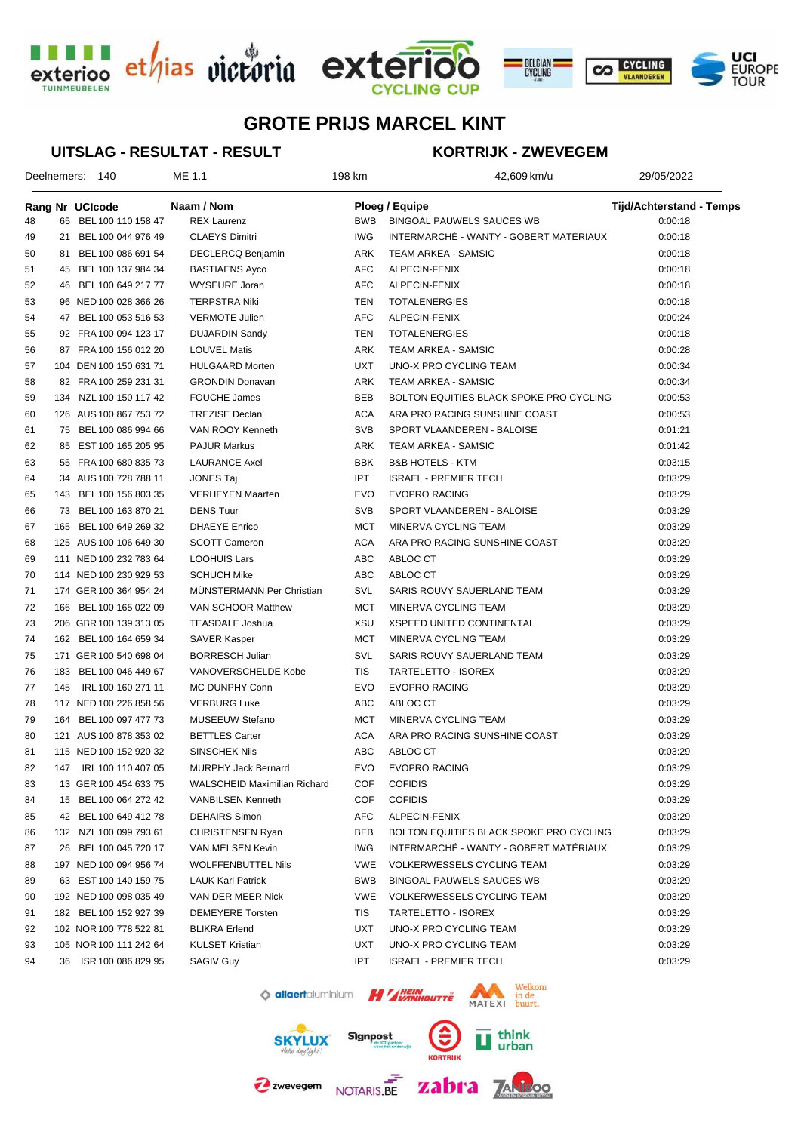





Deelnemers: 140 ME 1.1 1 1 42,609 km 42,609 km/u 29/05/2022

### **UITSLAG - RESULTAT - RESULT**

### **KORTRIJK - ZWEVEGEM**

|    |     | Rang Nr UCIcode        | Naam / Nom                          |            | Ploeg / Equipe                          | <b>Tijd/Achterstand - Temps</b> |  |
|----|-----|------------------------|-------------------------------------|------------|-----------------------------------------|---------------------------------|--|
| 48 |     | 65 BEL 100 110 158 47  | <b>REX Laurenz</b>                  | <b>BWB</b> | <b>BINGOAL PAUWELS SAUCES WB</b>        | 0:00:18                         |  |
| 49 | 21  | BEL 100 044 976 49     | <b>CLAEYS Dimitri</b>               | <b>IWG</b> | INTERMARCHÉ - WANTY - GOBERT MATÉRIAUX  | 0:00:18                         |  |
| 50 | 81  | BEL 100 086 691 54     | DECLERCQ Benjamin                   | ARK        | <b>TEAM ARKEA - SAMSIC</b>              | 0:00:18                         |  |
| 51 |     | 45 BEL 100 137 984 34  | <b>BASTIAENS Ayco</b>               | AFC        | ALPECIN-FENIX                           | 0:00:18                         |  |
| 52 |     | 46 BEL 100 649 217 77  | WYSEURE Joran                       | AFC        | ALPECIN-FENIX                           | 0:00:18                         |  |
| 53 |     | 96 NED 100 028 366 26  | <b>TERPSTRA Niki</b>                | TEN        | <b>TOTALENERGIES</b>                    | 0:00:18                         |  |
| 54 |     | 47 BEL 100 053 516 53  | <b>VERMOTE Julien</b>               | <b>AFC</b> | ALPECIN-FENIX                           | 0:00:24                         |  |
| 55 |     | 92 FRA 100 094 123 17  | <b>DUJARDIN Sandy</b>               | TEN        | <b>TOTALENERGIES</b>                    | 0:00:18                         |  |
| 56 |     | 87 FRA 100 156 012 20  | <b>LOUVEL Matis</b>                 | ARK        | <b>TEAM ARKEA - SAMSIC</b>              | 0:00:28                         |  |
| 57 |     | 104 DEN 100 150 631 71 | <b>HULGAARD Morten</b>              | <b>UXT</b> | UNO-X PRO CYCLING TEAM                  | 0:00:34                         |  |
| 58 |     | 82 FRA 100 259 231 31  | <b>GRONDIN Donavan</b>              | ARK        | <b>TEAM ARKEA - SAMSIC</b>              | 0:00:34                         |  |
| 59 |     | 134 NZL 100 150 117 42 | <b>FOUCHE James</b>                 | <b>BEB</b> | BOLTON EQUITIES BLACK SPOKE PRO CYCLING | 0:00:53                         |  |
| 60 |     | 126 AUS 100 867 753 72 | <b>TREZISE Declan</b>               | <b>ACA</b> | ARA PRO RACING SUNSHINE COAST           | 0:00:53                         |  |
| 61 |     | 75 BEL 100 086 994 66  | VAN ROOY Kenneth                    | <b>SVB</b> | SPORT VLAANDEREN - BALOISE              | 0:01:21                         |  |
| 62 |     | 85 EST 100 165 205 95  | <b>PAJUR Markus</b>                 | ARK        | <b>TEAM ARKEA - SAMSIC</b>              | 0:01:42                         |  |
| 63 |     | 55 FRA 100 680 835 73  | <b>LAURANCE Axel</b>                | <b>BBK</b> | <b>B&amp;B HOTELS - KTM</b>             | 0:03:15                         |  |
| 64 |     | 34 AUS 100 728 788 11  | <b>JONES Taj</b>                    | <b>IPT</b> | <b>ISRAEL - PREMIER TECH</b>            | 0:03:29                         |  |
| 65 |     | 143 BEL 100 156 803 35 | <b>VERHEYEN Maarten</b>             | <b>EVO</b> | <b>EVOPRO RACING</b>                    | 0:03:29                         |  |
| 66 |     | 73 BEL 100 163 870 21  | <b>DENS Tuur</b>                    | <b>SVB</b> | SPORT VLAANDEREN - BALOISE              | 0:03:29                         |  |
| 67 |     | 165 BEL 100 649 269 32 | <b>DHAEYE</b> Enrico                | <b>MCT</b> | MINERVA CYCLING TEAM                    | 0:03:29                         |  |
| 68 |     | 125 AUS 100 106 649 30 | <b>SCOTT Cameron</b>                | <b>ACA</b> | ARA PRO RACING SUNSHINE COAST           | 0:03:29                         |  |
| 69 |     | 111 NED 100 232 783 64 | <b>LOOHUIS Lars</b>                 | ABC        | ABLOC CT                                | 0:03:29                         |  |
| 70 |     | 114 NED 100 230 929 53 | <b>SCHUCH Mike</b>                  | ABC        | ABLOC CT                                | 0:03:29                         |  |
| 71 |     | 174 GER 100 364 954 24 | MÜNSTERMANN Per Christian           | SVL        | SARIS ROUVY SAUERLAND TEAM              | 0:03:29                         |  |
| 72 | 166 | BEL 100 165 022 09     | VAN SCHOOR Matthew                  | <b>MCT</b> | MINERVA CYCLING TEAM                    | 0:03:29                         |  |
| 73 |     | 206 GBR 100 139 313 05 | <b>TEASDALE Joshua</b>              | XSU        | <b>XSPEED UNITED CONTINENTAL</b>        | 0:03:29                         |  |
| 74 |     | 162 BEL 100 164 659 34 | <b>SAVER Kasper</b>                 | <b>MCT</b> | MINERVA CYCLING TEAM                    | 0:03:29                         |  |
| 75 |     | 171 GER 100 540 698 04 | <b>BORRESCH Julian</b>              | SVL        | SARIS ROUVY SAUERLAND TEAM              | 0:03:29                         |  |
| 76 | 183 | BEL 100 046 449 67     | VANOVERSCHELDE Kobe                 | <b>TIS</b> | TARTELETTO - ISOREX                     | 0:03:29                         |  |
| 77 | 145 | IRL 100 160 271 11     | MC DUNPHY Conn                      | <b>EVO</b> | <b>EVOPRO RACING</b>                    | 0:03:29                         |  |
| 78 |     | 117 NED 100 226 858 56 | <b>VERBURG Luke</b>                 | ABC        | ABLOC CT                                | 0:03:29                         |  |
| 79 |     | 164 BEL 100 097 477 73 | MUSEEUW Stefano                     | MCT        | MINERVA CYCLING TEAM                    | 0:03:29                         |  |
| 80 |     | 121 AUS 100 878 353 02 | <b>BETTLES Carter</b>               | <b>ACA</b> | ARA PRO RACING SUNSHINE COAST           | 0:03:29                         |  |
| 81 |     | 115 NED 100 152 920 32 | <b>SINSCHEK Nils</b>                | ABC        | ABLOC CT                                | 0:03:29                         |  |
| 82 |     | 147 IRL 100 110 407 05 | <b>MURPHY Jack Bernard</b>          | <b>EVO</b> | <b>EVOPRO RACING</b>                    | 0:03:29                         |  |
| 83 |     | 13 GER 100 454 633 75  | <b>WALSCHEID Maximilian Richard</b> | COF        | <b>COFIDIS</b>                          | 0:03:29                         |  |
| 84 |     | 15 BEL 100 064 272 42  | <b>VANBILSEN Kenneth</b>            | COF        | <b>COFIDIS</b>                          | 0:03:29                         |  |
| 85 |     | 42 BEL 100 649 412 78  | <b>DEHAIRS Simon</b>                | AFC        | ALPECIN-FENIX                           | 0:03:29                         |  |
| 86 |     | 132 NZL 100 099 793 61 | CHRISTENSEN Ryan                    | BEB        | BOLTON EQUITIES BLACK SPOKE PRO CYCLING | 0:03:29                         |  |
| 87 |     | 26 BEL 100 045 720 17  | VAN MELSEN Kevin                    | <b>IWG</b> | INTERMARCHÉ - WANTY - GOBERT MATÉRIAUX  | 0:03:29                         |  |
| 88 |     | 197 NED 100 094 956 74 | <b>WOLFFENBUTTEL Nils</b>           | <b>VWE</b> | <b>VOLKERWESSELS CYCLING TEAM</b>       | 0:03:29                         |  |
| 89 |     | 63 EST 100 140 159 75  | <b>LAUK Karl Patrick</b>            | <b>BWB</b> | BINGOAL PAUWELS SAUCES WB               | 0:03:29                         |  |
| 90 |     | 192 NED 100 098 035 49 | VAN DER MEER Nick                   | <b>VWE</b> | <b>VOLKERWESSELS CYCLING TEAM</b>       | 0:03:29                         |  |
| 91 |     | 182 BEL 100 152 927 39 | <b>DEMEYERE</b> Torsten             | TIS        | TARTELETTO - ISOREX                     | 0:03:29                         |  |
| 92 |     | 102 NOR 100 778 522 81 | <b>BLIKRA Erlend</b>                | <b>UXT</b> | UNO-X PRO CYCLING TEAM                  | 0:03:29                         |  |
| 93 |     | 105 NOR 100 111 242 64 | <b>KULSET Kristian</b>              | UXT        | UNO-X PRO CYCLING TEAM                  | 0:03:29                         |  |
| 94 |     | 36 ISR 100 086 829 95  | <b>SAGIV Guy</b>                    | IPT.       | <b>ISRAEL - PREMIER TECH</b>            | 0:03:29                         |  |









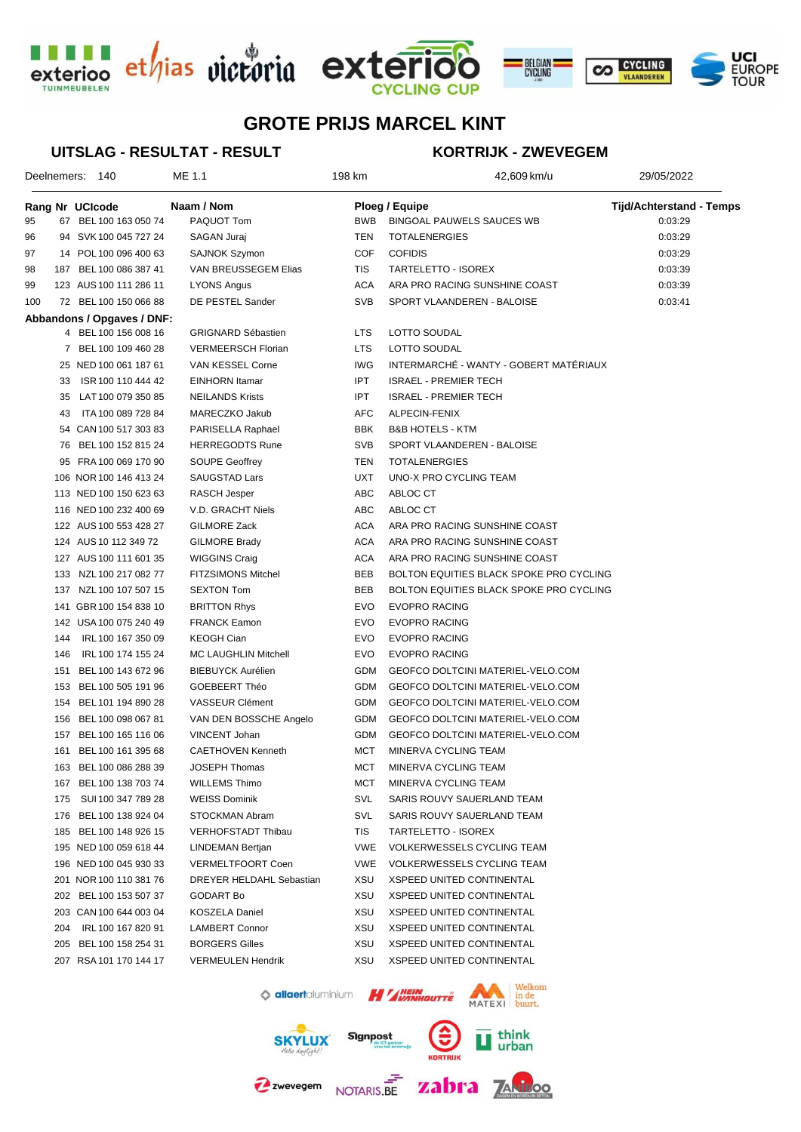





### **UITSLAG - RESULTAT - RESULT**

## **KORTRIJK - ZWEVEGEM**

|     |     | Deelnemers: 140            | ME 1.1                    | 198 km     | 42,609 km/u                             | 29/05/2022                      |  |
|-----|-----|----------------------------|---------------------------|------------|-----------------------------------------|---------------------------------|--|
|     |     | Rang Nr UCIcode            | Naam / Nom                |            | <b>Ploeg / Equipe</b>                   | <b>Tijd/Achterstand - Temps</b> |  |
| 95  |     | 67 BEL 100 163 050 74      | PAQUOT Tom                | <b>BWB</b> | <b>BINGOAL PAUWELS SAUCES WB</b>        | 0:03:29                         |  |
| 96  |     | 94 SVK 100 045 727 24      | SAGAN Juraj               | TEN        | <b>TOTALENERGIES</b>                    | 0:03:29                         |  |
| 97  |     | 14 POL 100 096 400 63      | SAJNOK Szymon             | <b>COF</b> | <b>COFIDIS</b>                          | 0:03:29                         |  |
| 98  |     | 187 BEL 100 086 387 41     | VAN BREUSSEGEM Elias      | TIS        | TARTELETTO - ISOREX                     | 0:03:39                         |  |
| 99  |     | 123 AUS 100 111 286 11     | LYONS Angus               | <b>ACA</b> | ARA PRO RACING SUNSHINE COAST           | 0:03:39                         |  |
| 100 |     | 72 BEL 100 150 066 88      | DE PESTEL Sander          | <b>SVB</b> | SPORT VLAANDEREN - BALOISE              | 0:03:41                         |  |
|     |     | Abbandons / Opgaves / DNF: |                           |            |                                         |                                 |  |
|     |     | 4 BEL 100 156 008 16       | <b>GRIGNARD Sébastien</b> | <b>LTS</b> | LOTTO SOUDAL                            |                                 |  |
|     |     | 7 BEL 100 109 460 28       | <b>VERMEERSCH Florian</b> | <b>LTS</b> | LOTTO SOUDAL                            |                                 |  |
|     |     | 25 NED 100 061 187 61      | VAN KESSEL Corne          | <b>IWG</b> | INTERMARCHÉ - WANTY - GOBERT MATÉRIAUX  |                                 |  |
|     | 33  | ISR 100 110 444 42         | EINHORN Itamar            | <b>IPT</b> | <b>ISRAEL - PREMIER TECH</b>            |                                 |  |
|     |     | 35 LAT 100 079 350 85      | <b>NEILANDS Krists</b>    | <b>IPT</b> | <b>ISRAEL - PREMIER TECH</b>            |                                 |  |
|     | 43  | ITA 100 089 728 84         | MARECZKO Jakub            | AFC        | ALPECIN-FENIX                           |                                 |  |
|     |     | 54 CAN 100 517 303 83      | PARISELLA Raphael         | <b>BBK</b> | <b>B&amp;B HOTELS - KTM</b>             |                                 |  |
|     |     | 76 BEL 100 152 815 24      | <b>HERREGODTS Rune</b>    | <b>SVB</b> | SPORT VLAANDEREN - BALOISE              |                                 |  |
|     |     | 95 FRA 100 069 170 90      | <b>SOUPE Geoffrey</b>     | TEN        | <b>TOTALENERGIES</b>                    |                                 |  |
|     |     | 106 NOR 100 146 413 24     | <b>SAUGSTAD Lars</b>      | <b>UXT</b> | UNO-X PRO CYCLING TEAM                  |                                 |  |
|     |     | 113 NED 100 150 623 63     | RASCH Jesper              | ABC        | ABLOC CT                                |                                 |  |
|     |     | 116 NED 100 232 400 69     | V.D. GRACHT Niels         | ABC        | ABLOC CT                                |                                 |  |
|     |     | 122 AUS 100 553 428 27     | GILMORE Zack              | <b>ACA</b> | ARA PRO RACING SUNSHINE COAST           |                                 |  |
|     |     | 124 AUS 10 112 349 72      | GILMORE Brady             | <b>ACA</b> | ARA PRO RACING SUNSHINE COAST           |                                 |  |
|     |     | 127 AUS 100 111 601 35     | <b>WIGGINS Craig</b>      | <b>ACA</b> | ARA PRO RACING SUNSHINE COAST           |                                 |  |
|     |     | 133 NZL 100 217 082 77     | <b>FITZSIMONS Mitchel</b> | <b>BEB</b> | BOLTON EQUITIES BLACK SPOKE PRO CYCLING |                                 |  |
|     |     | 137 NZL 100 107 507 15     | <b>SEXTON Tom</b>         | BEB        | BOLTON EQUITIES BLACK SPOKE PRO CYCLING |                                 |  |
|     |     | 141 GBR 100 154 838 10     | <b>BRITTON Rhys</b>       | <b>EVO</b> | <b>EVOPRO RACING</b>                    |                                 |  |
|     |     | 142 USA 100 075 240 49     | <b>FRANCK Eamon</b>       | <b>EVO</b> | <b>EVOPRO RACING</b>                    |                                 |  |
|     | 144 | IRL 100 167 350 09         | <b>KEOGH Cian</b>         | EVO        | <b>EVOPRO RACING</b>                    |                                 |  |
|     | 146 | IRL 100 174 155 24         | MC LAUGHLIN Mitchell      | EVO        | <b>EVOPRO RACING</b>                    |                                 |  |
|     | 151 | BEL 100 143 672 96         | <b>BIEBUYCK Aurélien</b>  | GDM        | GEOFCO DOLTCINI MATERIEL-VELO.COM       |                                 |  |
|     |     | 153 BEL 100 505 191 96     | GOEBEERT Théo             | GDM        | GEOFCO DOLTCINI MATERIEL-VELO.COM       |                                 |  |
|     |     | 154 BEL 101 194 890 28     | VASSEUR Clément           | GDM        | GEOFCO DOLTCINI MATERIEL-VELO.COM       |                                 |  |
|     |     | 156 BEL 100 098 067 81     | VAN DEN BOSSCHE Angelo    | GDM        | GEOFCO DOLTCINI MATERIEL-VELO.COM       |                                 |  |
|     |     | 157 BEL 100 165 116 06     | VINCENT Johan             | GDM        | GEOFCO DOLTCINI MATERIEL-VELO.COM       |                                 |  |
|     | 161 | BEL 100 161 395 68         | <b>CAETHOVEN Kenneth</b>  | MCT        | MINERVA CYCLING TEAM                    |                                 |  |
|     |     | 163 BEL 100 086 288 39     | <b>JOSEPH Thomas</b>      | MCT        | MINERVA CYCLING TEAM                    |                                 |  |
|     |     | 167 BEL 100 138 703 74     | <b>WILLEMS Thimo</b>      | MCT        | MINERVA CYCLING TEAM                    |                                 |  |
|     | 175 | SUI 100 347 789 28         | <b>WEISS Dominik</b>      | SVL        | SARIS ROUVY SAUERLAND TEAM              |                                 |  |
|     | 176 | BEL 100 138 924 04         | STOCKMAN Abram            | SVL        | SARIS ROUVY SAUERLAND TEAM              |                                 |  |
|     |     | 185 BEL 100 148 926 15     | <b>VERHOFSTADT Thibau</b> | TIS        | TARTELETTO - ISOREX                     |                                 |  |
|     |     | 195 NED 100 059 618 44     | LINDEMAN Bertjan          | <b>VWE</b> | VOLKERWESSELS CYCLING TEAM              |                                 |  |
|     |     | 196 NED 100 045 930 33     | <b>VERMELTFOORT Coen</b>  | <b>VWE</b> | VOLKERWESSELS CYCLING TEAM              |                                 |  |
|     |     | 201 NOR 100 110 381 76     | DREYER HELDAHL Sebastian  | XSU        | XSPEED UNITED CONTINENTAL               |                                 |  |
|     |     | 202 BEL 100 153 507 37     | GODART Bo                 | XSU        | XSPEED UNITED CONTINENTAL               |                                 |  |
|     |     | 203 CAN 100 644 003 04     | <b>KOSZELA Daniel</b>     | XSU        | XSPEED UNITED CONTINENTAL               |                                 |  |
|     | 204 | IRL 100 167 820 91         | <b>LAMBERT Connor</b>     | XSU        | <b>XSPEED UNITED CONTINENTAL</b>        |                                 |  |
|     |     | 205 BEL 100 158 254 31     | <b>BORGERS Gilles</b>     | XSU        | XSPEED UNITED CONTINENTAL               |                                 |  |
|     |     | 207 RSA 101 170 144 17     | <b>VERMEULEN Hendrik</b>  | XSU        | XSPEED UNITED CONTINENTAL               |                                 |  |
|     |     |                            |                           |            | Walkon                                  |                                 |  |